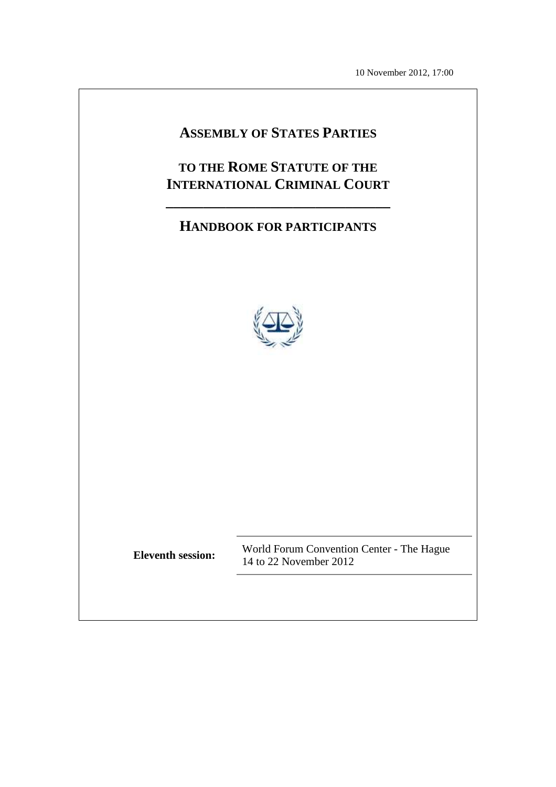10 November 2012, 17:00

# **ASSEMBLY OF STATES PARTIES**

# **TO THE ROME STATUTE OF THE INTERNATIONAL CRIMINAL COURT**

**\_\_\_\_\_\_\_\_\_\_\_\_\_\_\_\_\_\_\_\_\_\_\_\_\_\_\_\_\_\_** 

# **HANDBOOK FOR PARTICIPANTS**



**Eleventh session:** World Forum Convention Center - The Hague 14 to 22 November 2012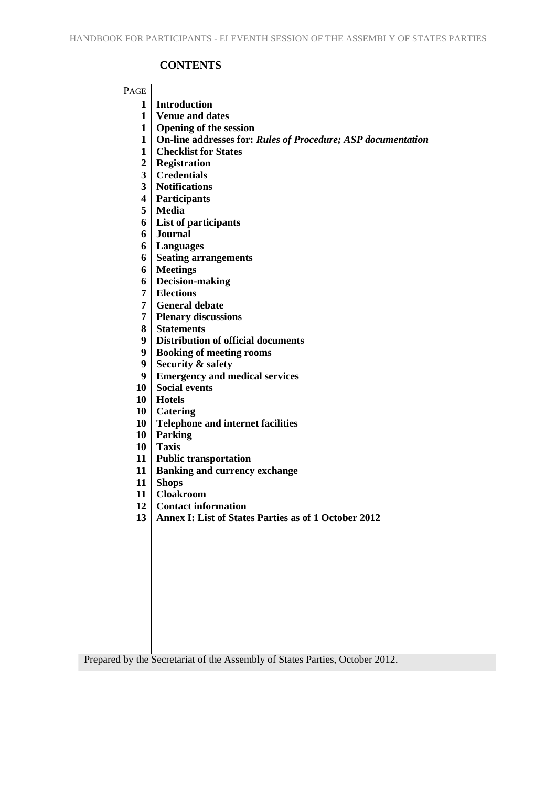## **CONTENTS**

| PAGE                    |                                                              |
|-------------------------|--------------------------------------------------------------|
| $\mathbf{1}$            | <b>Introduction</b>                                          |
| 1                       | <b>Venue and dates</b>                                       |
| $\mathbf{1}$            | <b>Opening of the session</b>                                |
| $\mathbf{1}$            | On-line addresses for: Rules of Procedure; ASP documentation |
| $\mathbf{1}$            | <b>Checklist for States</b>                                  |
| $\boldsymbol{2}$        | <b>Registration</b>                                          |
| $\overline{\mathbf{3}}$ | <b>Credentials</b>                                           |
| 3 <sup>1</sup>          | <b>Notifications</b>                                         |
| 4                       | <b>Participants</b>                                          |
| 5                       | <b>Media</b>                                                 |
| 6                       | List of participants                                         |
| 6                       | <b>Journal</b>                                               |
| 6                       | Languages                                                    |
| 6                       | <b>Seating arrangements</b>                                  |
| 6                       | <b>Meetings</b>                                              |
| 6                       | <b>Decision-making</b>                                       |
| 7 <sup>1</sup>          | <b>Elections</b>                                             |
| 7                       | <b>General debate</b>                                        |
| 7                       | <b>Plenary discussions</b>                                   |
| 8                       | <b>Statements</b>                                            |
| 9                       | <b>Distribution of official documents</b>                    |
| 9                       | <b>Booking of meeting rooms</b>                              |
| 9                       | Security & safety                                            |
| 9                       | <b>Emergency and medical services</b>                        |
| 10                      | <b>Social events</b>                                         |
| 10                      | <b>Hotels</b>                                                |
| 10                      | Catering                                                     |
| 10                      | <b>Telephone and internet facilities</b>                     |
| 10                      | <b>Parking</b>                                               |
| 10                      | <b>Taxis</b>                                                 |
| 11                      | <b>Public transportation</b>                                 |
| 11                      | <b>Banking and currency exchange</b>                         |
| 11                      | <b>Shops</b>                                                 |
| 11                      | <b>Cloakroom</b>                                             |
| 12                      | <b>Contact information</b>                                   |
| 13                      | <b>Annex I: List of States Parties as of 1 October 2012</b>  |
|                         |                                                              |
|                         |                                                              |
|                         |                                                              |
|                         |                                                              |
|                         |                                                              |
|                         |                                                              |
|                         |                                                              |
|                         |                                                              |
|                         |                                                              |
|                         |                                                              |
|                         |                                                              |

Prepared by the Secretariat of the Assembly of States Parties, October 2012.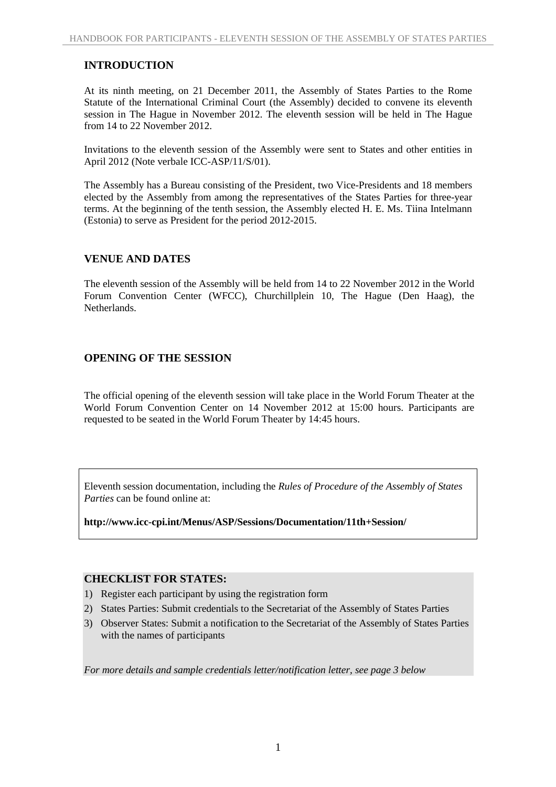#### **INTRODUCTION**

At its ninth meeting, on 21 December 2011, the Assembly of States Parties to the Rome Statute of the International Criminal Court (the Assembly) decided to convene its eleventh session in The Hague in November 2012. The eleventh session will be held in The Hague from 14 to 22 November 2012.

Invitations to the eleventh session of the Assembly were sent to States and other entities in April 2012 (Note verbale ICC-ASP/11/S/01).

The Assembly has a Bureau consisting of the President, two Vice-Presidents and 18 members elected by the Assembly from among the representatives of the States Parties for three-year terms. At the beginning of the tenth session, the Assembly elected H. E. Ms. Tiina Intelmann (Estonia) to serve as President for the period 2012-2015.

#### **VENUE AND DATES**

The eleventh session of the Assembly will be held from 14 to 22 November 2012 in the World Forum Convention Center (WFCC), Churchillplein 10, The Hague (Den Haag), the **Netherlands** 

## **OPENING OF THE SESSION**

The official opening of the eleventh session will take place in the World Forum Theater at the World Forum Convention Center on 14 November 2012 at 15:00 hours. Participants are requested to be seated in the World Forum Theater by 14:45 hours.

Eleventh session documentation, including the *Rules of Procedure of the Assembly of States Parties* can be found online at:

**http://www.icc-cpi.int/Menus/ASP/Sessions/Documentation/11th+Session/** 

#### **CHECKLIST FOR STATES:**

- 1) Register each participant by using the registration form
- 2) States Parties: Submit credentials to the Secretariat of the Assembly of States Parties
- 3) Observer States: Submit a notification to the Secretariat of the Assembly of States Parties with the names of participants

*For more details and sample credentials letter/notification letter, see page 3 below*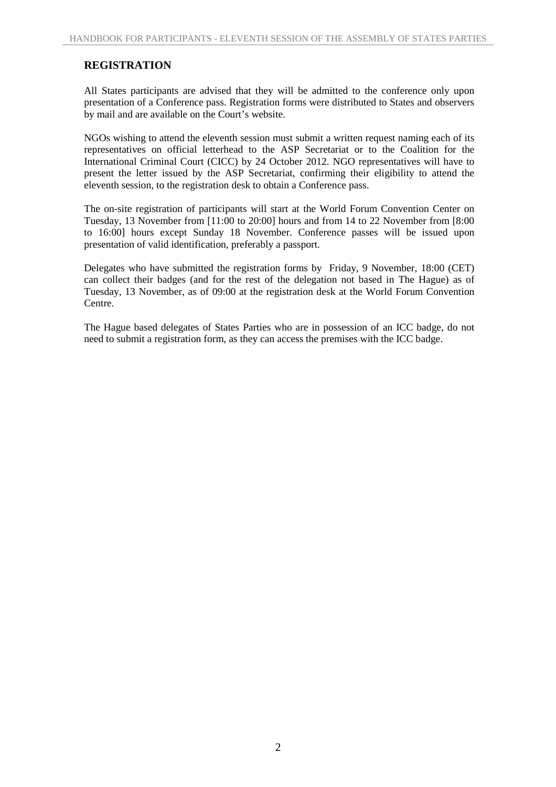## **REGISTRATION**

All States participants are advised that they will be admitted to the conference only upon presentation of a Conference pass. Registration forms were distributed to States and observers by mail and are available on the Court's website.

NGOs wishing to attend the eleventh session must submit a written request naming each of its representatives on official letterhead to the ASP Secretariat or to the Coalition for the International Criminal Court (CICC) by 24 October 2012. NGO representatives will have to present the letter issued by the ASP Secretariat, confirming their eligibility to attend the eleventh session, to the registration desk to obtain a Conference pass.

The on-site registration of participants will start at the World Forum Convention Center on Tuesday, 13 November from [11:00 to 20:00] hours and from 14 to 22 November from [8:00 to 16:00] hours except Sunday 18 November. Conference passes will be issued upon presentation of valid identification, preferably a passport.

Delegates who have submitted the registration forms by Friday, 9 November, 18:00 (CET) can collect their badges (and for the rest of the delegation not based in The Hague) as of Tuesday, 13 November, as of 09:00 at the registration desk at the World Forum Convention Centre.

The Hague based delegates of States Parties who are in possession of an ICC badge, do not need to submit a registration form, as they can access the premises with the ICC badge.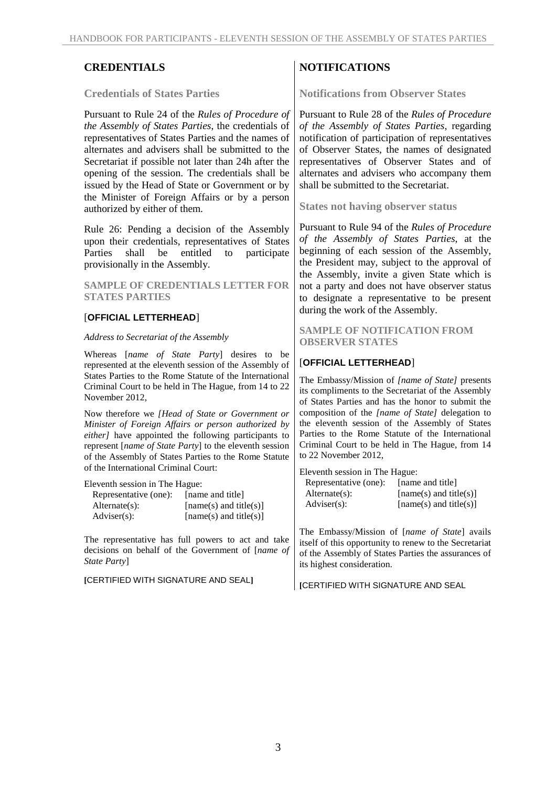#### **Credentials of States Parties**

Pursuant to Rule 24 of the *Rules of Procedure of the Assembly of States Parties*, the credentials of representatives of States Parties and the names of alternates and advisers shall be submitted to the Secretariat if possible not later than 24h after the opening of the session. The credentials shall be issued by the Head of State or Government or by the Minister of Foreign Affairs or by a person authorized by either of them.

Rule 26: Pending a decision of the Assembly upon their credentials, representatives of States Parties shall be entitled to participate provisionally in the Assembly.

#### **SAMPLE OF CREDENTIALS LETTER FOR STATES PARTIES**

#### [**OFFICIAL LETTERHEAD**]

#### *Address to Secretariat of the Assembly*

Whereas [*name of State Party*] desires to be represented at the eleventh session of the Assembly of States Parties to the Rome Statute of the International Criminal Court to be held in The Hague, from 14 to 22 November 2012,

Now therefore we *[Head of State or Government or Minister of Foreign Affairs or person authorized by either]* have appointed the following participants to represent [*name of State Party*] to the eleventh session of the Assembly of States Parties to the Rome Statute of the International Criminal Court:

Eleventh session in The Hague:

| Representative (one): | [name and title]         |
|-----------------------|--------------------------|
| $Alternate(s)$ :      | $[name(s)$ and title(s)] |
| $\text{Adviser}(s)$ : | $[name(s)$ and title(s)] |

The representative has full powers to act and take decisions on behalf of the Government of [*name of State Party*]

**[**CERTIFIED WITH SIGNATURE AND SEAL**]**

## **CREDENTIALS** NOTIFICATIONS

**Notifications from Observer States** 

Pursuant to Rule 28 of the *Rules of Procedure of the Assembly of States Parties*, regarding notification of participation of representatives of Observer States, the names of designated representatives of Observer States and of alternates and advisers who accompany them shall be submitted to the Secretariat.

**States not having observer status** 

Pursuant to Rule 94 of the *Rules of Procedure of the Assembly of States Parties*, at the beginning of each session of the Assembly, the President may, subject to the approval of the Assembly, invite a given State which is not a party and does not have observer status to designate a representative to be present during the work of the Assembly.

**SAMPLE OF NOTIFICATION FROM OBSERVER STATES** 

#### [**OFFICIAL LETTERHEAD**]

The Embassy/Mission of *[name of State]* presents its compliments to the Secretariat of the Assembly of States Parties and has the honor to submit the composition of the *[name of State]* delegation to the eleventh session of the Assembly of States Parties to the Rome Statute of the International Criminal Court to be held in The Hague, from 14 to 22 November 2012,

| Eleventh session in The Hague: |  |  |  |  |
|--------------------------------|--|--|--|--|
| [name and title]               |  |  |  |  |
| $[name(s)$ and title(s)]       |  |  |  |  |
| $[name(s)$ and title(s)]       |  |  |  |  |
|                                |  |  |  |  |

The Embassy/Mission of [*name of State*] avails itself of this opportunity to renew to the Secretariat of the Assembly of States Parties the assurances of its highest consideration.

**[**CERTIFIED WITH SIGNATURE AND SEAL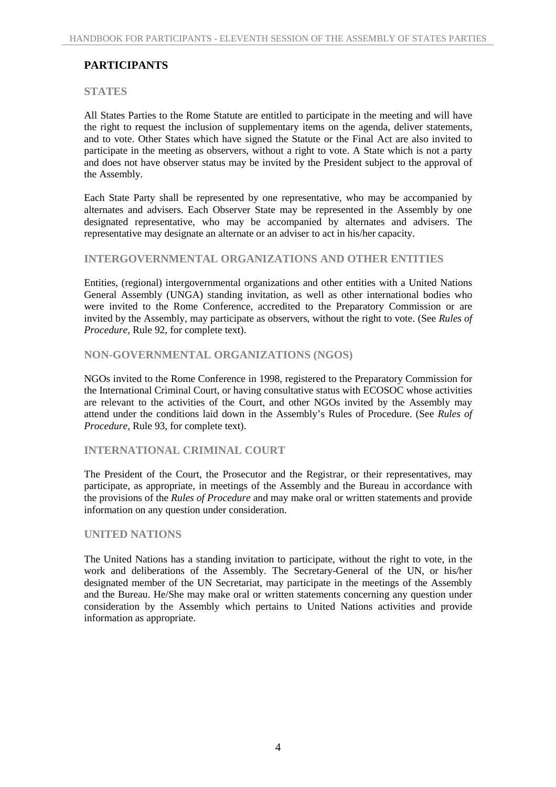## **PARTICIPANTS**

#### **STATES**

All States Parties to the Rome Statute are entitled to participate in the meeting and will have the right to request the inclusion of supplementary items on the agenda, deliver statements, and to vote. Other States which have signed the Statute or the Final Act are also invited to participate in the meeting as observers, without a right to vote. A State which is not a party and does not have observer status may be invited by the President subject to the approval of the Assembly.

Each State Party shall be represented by one representative, who may be accompanied by alternates and advisers. Each Observer State may be represented in the Assembly by one designated representative, who may be accompanied by alternates and advisers. The representative may designate an alternate or an adviser to act in his/her capacity.

#### **INTERGOVERNMENTAL ORGANIZATIONS AND OTHER ENTITIES**

Entities, (regional) intergovernmental organizations and other entities with a United Nations General Assembly (UNGA) standing invitation, as well as other international bodies who were invited to the Rome Conference, accredited to the Preparatory Commission or are invited by the Assembly, may participate as observers, without the right to vote. (See *Rules of Procedure*, Rule 92, for complete text).

#### **NON-GOVERNMENTAL ORGANIZATIONS (NGOS)**

NGOs invited to the Rome Conference in 1998, registered to the Preparatory Commission for the International Criminal Court, or having consultative status with ECOSOC whose activities are relevant to the activities of the Court, and other NGOs invited by the Assembly may attend under the conditions laid down in the Assembly's Rules of Procedure. (See *Rules of Procedure*, Rule 93, for complete text).

#### **INTERNATIONAL CRIMINAL COURT**

The President of the Court, the Prosecutor and the Registrar, or their representatives, may participate, as appropriate, in meetings of the Assembly and the Bureau in accordance with the provisions of the *Rules of Procedure* and may make oral or written statements and provide information on any question under consideration.

#### **UNITED NATIONS**

The United Nations has a standing invitation to participate, without the right to vote, in the work and deliberations of the Assembly. The Secretary-General of the UN, or his/her designated member of the UN Secretariat, may participate in the meetings of the Assembly and the Bureau. He/She may make oral or written statements concerning any question under consideration by the Assembly which pertains to United Nations activities and provide information as appropriate.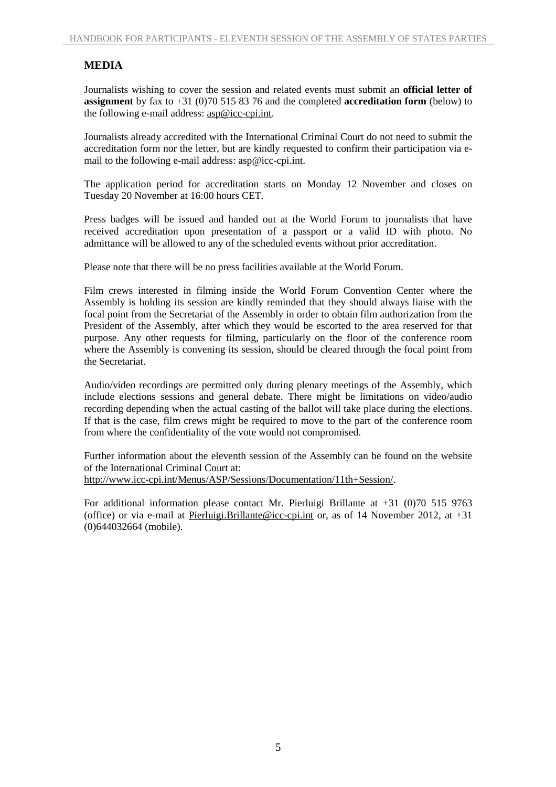## **MEDIA**

Journalists wishing to cover the session and related events must submit an **official letter of assignment** by fax to +31 (0)70 515 83 76 and the completed **accreditation form** (below) to the following e-mail address: asp@icc-cpi.int.

Journalists already accredited with the International Criminal Court do not need to submit the accreditation form nor the letter, but are kindly requested to confirm their participation via email to the following e-mail address: asp@icc-cpi.int.

The application period for accreditation starts on Monday 12 November and closes on Tuesday 20 November at 16:00 hours CET.

Press badges will be issued and handed out at the World Forum to journalists that have received accreditation upon presentation of a passport or a valid ID with photo. No admittance will be allowed to any of the scheduled events without prior accreditation.

Please note that there will be no press facilities available at the World Forum.

Film crews interested in filming inside the World Forum Convention Center where the Assembly is holding its session are kindly reminded that they should always liaise with the focal point from the Secretariat of the Assembly in order to obtain film authorization from the President of the Assembly, after which they would be escorted to the area reserved for that purpose. Any other requests for filming, particularly on the floor of the conference room where the Assembly is convening its session, should be cleared through the focal point from the Secretariat.

Audio/video recordings are permitted only during plenary meetings of the Assembly, which include elections sessions and general debate. There might be limitations on video/audio recording depending when the actual casting of the ballot will take place during the elections. If that is the case, film crews might be required to move to the part of the conference room from where the confidentiality of the vote would not compromised.

Further information about the eleventh session of the Assembly can be found on the website of the International Criminal Court at:

http://www.icc-cpi.int/Menus/ASP/Sessions/Documentation/11th+Session/.

For additional information please contact Mr. Pierluigi Brillante at +31 (0)70 515 9763 (office) or via e-mail at Pierluigi.Brillante@icc-cpi.int or, as of 14 November 2012, at +31 (0)644032664 (mobile).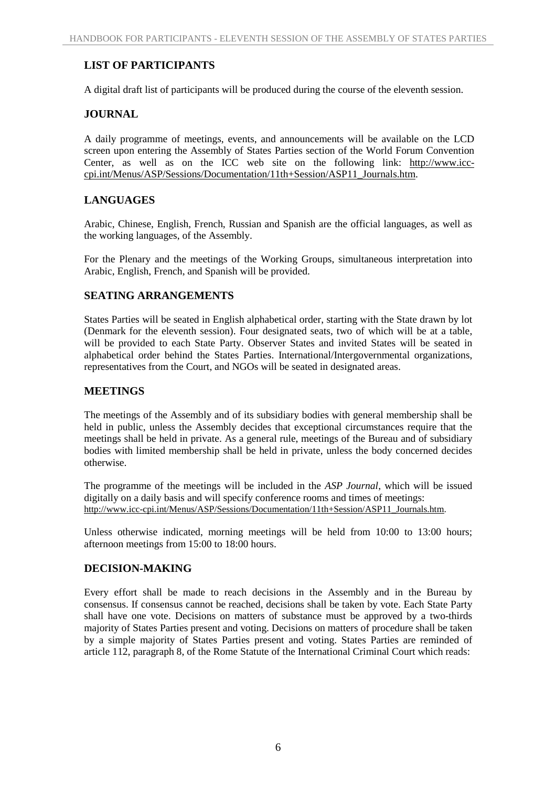## **LIST OF PARTICIPANTS**

A digital draft list of participants will be produced during the course of the eleventh session.

## **JOURNAL**

A daily programme of meetings, events, and announcements will be available on the LCD screen upon entering the Assembly of States Parties section of the World Forum Convention Center, as well as on the ICC web site on the following link: http://www.icccpi.int/Menus/ASP/Sessions/Documentation/11th+Session/ASP11\_Journals.htm.

## **LANGUAGES**

Arabic, Chinese, English, French, Russian and Spanish are the official languages, as well as the working languages, of the Assembly.

For the Plenary and the meetings of the Working Groups, simultaneous interpretation into Arabic, English, French, and Spanish will be provided.

## **SEATING ARRANGEMENTS**

States Parties will be seated in English alphabetical order, starting with the State drawn by lot (Denmark for the eleventh session). Four designated seats, two of which will be at a table, will be provided to each State Party. Observer States and invited States will be seated in alphabetical order behind the States Parties. International/Intergovernmental organizations, representatives from the Court, and NGOs will be seated in designated areas.

## **MEETINGS**

The meetings of the Assembly and of its subsidiary bodies with general membership shall be held in public, unless the Assembly decides that exceptional circumstances require that the meetings shall be held in private. As a general rule, meetings of the Bureau and of subsidiary bodies with limited membership shall be held in private, unless the body concerned decides otherwise.

The programme of the meetings will be included in the *ASP Journal*, which will be issued digitally on a daily basis and will specify conference rooms and times of meetings: http://www.icc-cpi.int/Menus/ASP/Sessions/Documentation/11th+Session/ASP11\_Journals.htm.

Unless otherwise indicated, morning meetings will be held from 10:00 to 13:00 hours; afternoon meetings from 15:00 to 18:00 hours.

## **DECISION-MAKING**

Every effort shall be made to reach decisions in the Assembly and in the Bureau by consensus. If consensus cannot be reached, decisions shall be taken by vote. Each State Party shall have one vote. Decisions on matters of substance must be approved by a two-thirds majority of States Parties present and voting. Decisions on matters of procedure shall be taken by a simple majority of States Parties present and voting. States Parties are reminded of article 112, paragraph 8, of the Rome Statute of the International Criminal Court which reads: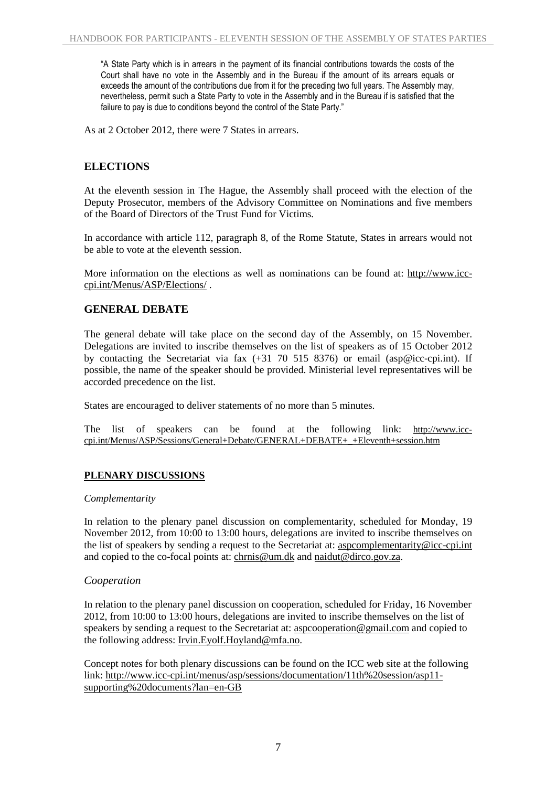"A State Party which is in arrears in the payment of its financial contributions towards the costs of the Court shall have no vote in the Assembly and in the Bureau if the amount of its arrears equals or exceeds the amount of the contributions due from it for the preceding two full years. The Assembly may, nevertheless, permit such a State Party to vote in the Assembly and in the Bureau if is satisfied that the failure to pay is due to conditions beyond the control of the State Party."

As at 2 October 2012, there were 7 States in arrears.

## **ELECTIONS**

At the eleventh session in The Hague, the Assembly shall proceed with the election of the Deputy Prosecutor, members of the Advisory Committee on Nominations and five members of the Board of Directors of the Trust Fund for Victims*.*

In accordance with article 112, paragraph 8, of the Rome Statute, States in arrears would not be able to vote at the eleventh session.

More information on the elections as well as nominations can be found at: http://www.icccpi.int/Menus/ASP/Elections/ .

## **GENERAL DEBATE**

The general debate will take place on the second day of the Assembly, on 15 November. Delegations are invited to inscribe themselves on the list of speakers as of 15 October 2012 by contacting the Secretariat via fax (+31 70 515 8376) or email (asp@icc-cpi.int). If possible, the name of the speaker should be provided. Ministerial level representatives will be accorded precedence on the list.

States are encouraged to deliver statements of no more than 5 minutes.

The list of speakers can be found at the following link: http://www.icccpi.int/Menus/ASP/Sessions/General+Debate/GENERAL+DEBATE+\_+Eleventh+session.htm

## **PLENARY DISCUSSIONS**

#### *Complementarity*

In relation to the plenary panel discussion on complementarity, scheduled for Monday, 19 November 2012, from 10:00 to 13:00 hours, delegations are invited to inscribe themselves on the list of speakers by sending a request to the Secretariat at: aspcomplementarity@icc-cpi.int and copied to the co-focal points at: chrnis@um.dk and naidut@dirco.gov.za.

#### *Cooperation*

In relation to the plenary panel discussion on cooperation, scheduled for Friday, 16 November 2012, from 10:00 to 13:00 hours, delegations are invited to inscribe themselves on the list of speakers by sending a request to the Secretariat at: aspcooperation@gmail.com and copied to the following address: Irvin.Eyolf.Hoyland@mfa.no.

Concept notes for both plenary discussions can be found on the ICC web site at the following link: http://www.icc-cpi.int/menus/asp/sessions/documentation/11th%20session/asp11 supporting%20documents?lan=en-GB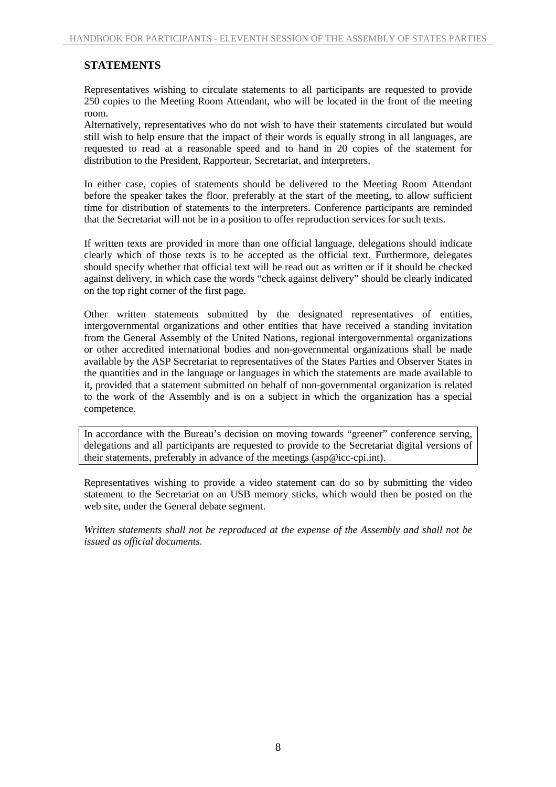## **STATEMENTS**

Representatives wishing to circulate statements to all participants are requested to provide 250 copies to the Meeting Room Attendant, who will be located in the front of the meeting room.

Alternatively, representatives who do not wish to have their statements circulated but would still wish to help ensure that the impact of their words is equally strong in all languages, are requested to read at a reasonable speed and to hand in 20 copies of the statement for distribution to the President, Rapporteur, Secretariat, and interpreters.

In either case, copies of statements should be delivered to the Meeting Room Attendant before the speaker takes the floor, preferably at the start of the meeting, to allow sufficient time for distribution of statements to the interpreters. Conference participants are reminded that the Secretariat will not be in a position to offer reproduction services for such texts.

If written texts are provided in more than one official language, delegations should indicate clearly which of those texts is to be accepted as the official text. Furthermore, delegates should specify whether that official text will be read out as written or if it should be checked against delivery, in which case the words "check against delivery" should be clearly indicated on the top right corner of the first page.

Other written statements submitted by the designated representatives of entities, intergovernmental organizations and other entities that have received a standing invitation from the General Assembly of the United Nations, regional intergovernmental organizations or other accredited international bodies and non-governmental organizations shall be made available by the ASP Secretariat to representatives of the States Parties and Observer States in the quantities and in the language or languages in which the statements are made available to it, provided that a statement submitted on behalf of non-governmental organization is related to the work of the Assembly and is on a subject in which the organization has a special competence.

In accordance with the Bureau's decision on moving towards "greener" conference serving, delegations and all participants are requested to provide to the Secretariat digital versions of their statements, preferably in advance of the meetings (asp@icc-cpi.int).

Representatives wishing to provide a video statement can do so by submitting the video statement to the Secretariat on an USB memory sticks, which would then be posted on the web site, under the General debate segment.

*Written statements shall not be reproduced at the expense of the Assembly and shall not be issued as official documents.*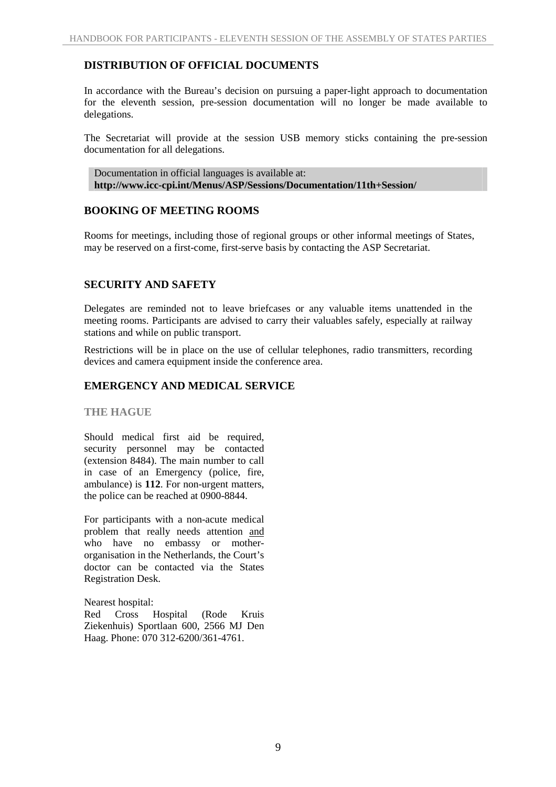## **DISTRIBUTION OF OFFICIAL DOCUMENTS**

In accordance with the Bureau's decision on pursuing a paper-light approach to documentation for the eleventh session, pre-session documentation will no longer be made available to delegations.

The Secretariat will provide at the session USB memory sticks containing the pre-session documentation for all delegations.

Documentation in official languages is available at: **http://www.icc-cpi.int/Menus/ASP/Sessions/Documentation/11th+Session/** 

## **BOOKING OF MEETING ROOMS**

Rooms for meetings, including those of regional groups or other informal meetings of States, may be reserved on a first-come, first-serve basis by contacting the ASP Secretariat.

## **SECURITY AND SAFETY**

Delegates are reminded not to leave briefcases or any valuable items unattended in the meeting rooms. Participants are advised to carry their valuables safely, especially at railway stations and while on public transport.

Restrictions will be in place on the use of cellular telephones, radio transmitters, recording devices and camera equipment inside the conference area.

## **EMERGENCY AND MEDICAL SERVICE**

#### **THE HAGUE**

Should medical first aid be required, security personnel may be contacted (extension 8484). The main number to call in case of an Emergency (police, fire, ambulance) is **112**. For non-urgent matters, the police can be reached at 0900-8844.

For participants with a non-acute medical problem that really needs attention and who have no embassy or motherorganisation in the Netherlands, the Court's doctor can be contacted via the States Registration Desk.

Nearest hospital:

Red Cross Hospital (Rode Kruis Ziekenhuis) Sportlaan 600, 2566 MJ Den Haag. Phone: 070 312-6200/361-4761.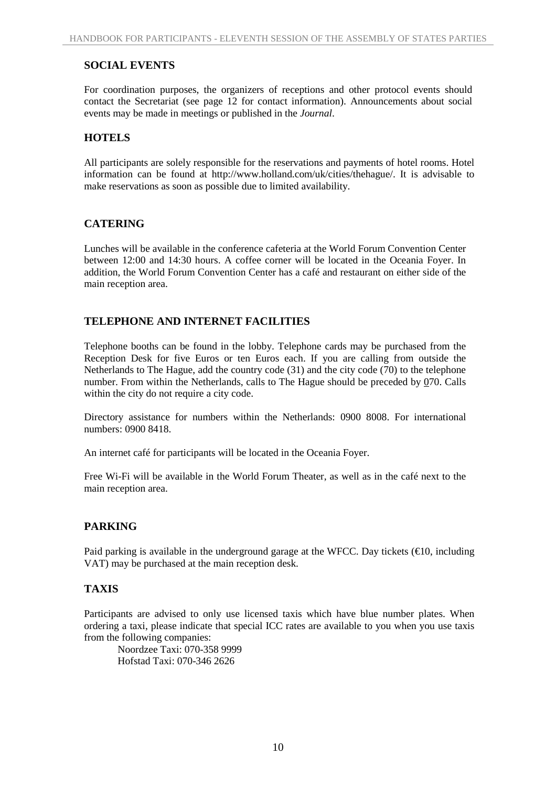## **SOCIAL EVENTS**

For coordination purposes, the organizers of receptions and other protocol events should contact the Secretariat (see page 12 for contact information). Announcements about social events may be made in meetings or published in the *Journal*.

#### **HOTELS**

All participants are solely responsible for the reservations and payments of hotel rooms. Hotel information can be found at http://www.holland.com/uk/cities/thehague/. It is advisable to make reservations as soon as possible due to limited availability.

## **CATERING**

Lunches will be available in the conference cafeteria at the World Forum Convention Center between 12:00 and 14:30 hours. A coffee corner will be located in the Oceania Foyer. In addition, the World Forum Convention Center has a café and restaurant on either side of the main reception area.

#### **TELEPHONE AND INTERNET FACILITIES**

Telephone booths can be found in the lobby. Telephone cards may be purchased from the Reception Desk for five Euros or ten Euros each. If you are calling from outside the Netherlands to The Hague, add the country code (31) and the city code (70) to the telephone number. From within the Netherlands, calls to The Hague should be preceded by 070. Calls within the city do not require a city code.

Directory assistance for numbers within the Netherlands: 0900 8008. For international numbers: 0900 8418.

An internet café for participants will be located in the Oceania Foyer.

Free Wi-Fi will be available in the World Forum Theater, as well as in the café next to the main reception area.

## **PARKING**

Paid parking is available in the underground garage at the WFCC. Day tickets ( $\in$ 10, including VAT) may be purchased at the main reception desk.

## **TAXIS**

Participants are advised to only use licensed taxis which have blue number plates. When ordering a taxi, please indicate that special ICC rates are available to you when you use taxis from the following companies:

 Noordzee Taxi: 070-358 9999 Hofstad Taxi: 070-346 2626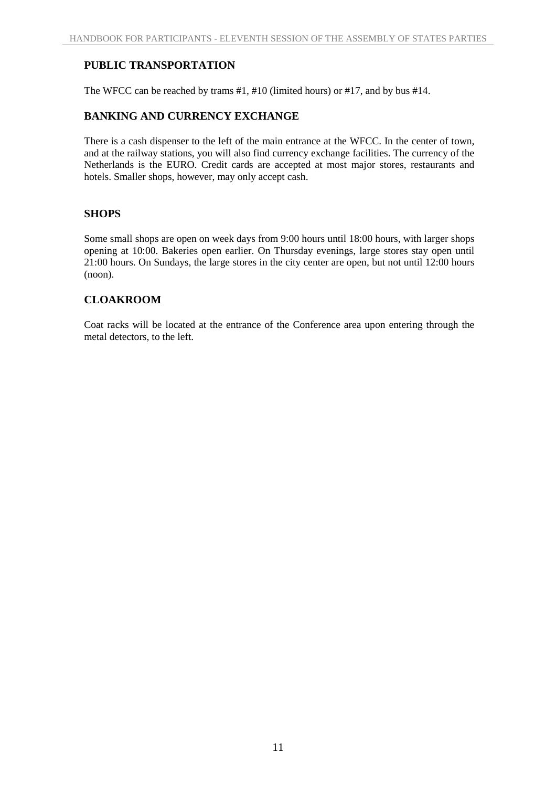## **PUBLIC TRANSPORTATION**

The WFCC can be reached by trams #1, #10 (limited hours) or #17, and by bus #14.

## **BANKING AND CURRENCY EXCHANGE**

There is a cash dispenser to the left of the main entrance at the WFCC. In the center of town, and at the railway stations, you will also find currency exchange facilities. The currency of the Netherlands is the EURO. Credit cards are accepted at most major stores, restaurants and hotels. Smaller shops, however, may only accept cash.

## **SHOPS**

Some small shops are open on week days from 9:00 hours until 18:00 hours, with larger shops opening at 10:00. Bakeries open earlier. On Thursday evenings, large stores stay open until 21:00 hours. On Sundays, the large stores in the city center are open, but not until 12:00 hours (noon).

## **CLOAKROOM**

Coat racks will be located at the entrance of the Conference area upon entering through the metal detectors, to the left.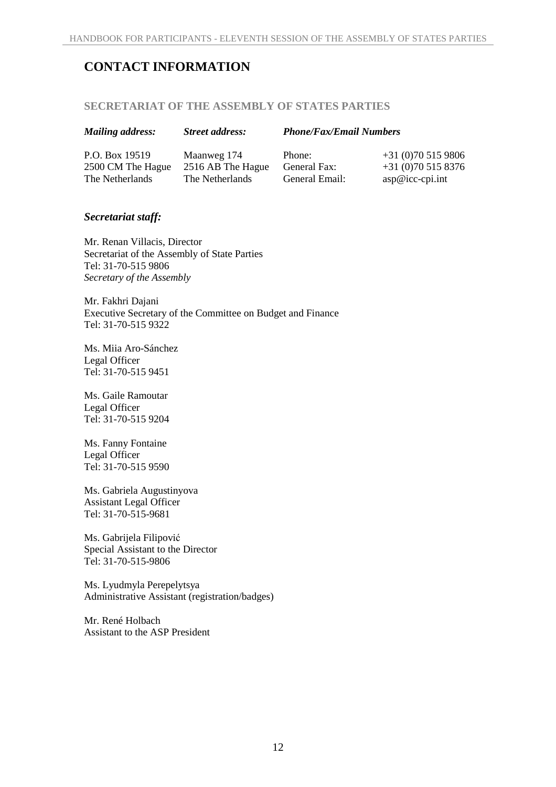# **CONTACT INFORMATION**

#### **SECRETARIAT OF THE ASSEMBLY OF STATES PARTIES**

|  |  | <b>Mailing address:</b> |
|--|--|-------------------------|
|--|--|-------------------------|

## *Mailing address: Street address: Phone/Fax/Email Numbers*

P.O. Box 19519 2500 CM The Hague The Netherlands

Maanweg 174 2516 AB The Hague The Netherlands

Phone: General Fax: General Email: +31 (0)70 515 9806 +31 (0)70 515 8376 asp@icc-cpi.int

## *Secretariat staff:*

Mr. Renan Villacis, Director Secretariat of the Assembly of State Parties Tel: 31-70-515 9806 *Secretary of the Assembly* 

Mr. Fakhri Dajani Executive Secretary of the Committee on Budget and Finance Tel: 31-70-515 9322

Ms. Miia Aro-Sánchez Legal Officer Tel: 31-70-515 9451

Ms. Gaile Ramoutar Legal Officer Tel: 31-70-515 9204

Ms. Fanny Fontaine Legal Officer Tel: 31-70-515 9590

Ms. Gabriela Augustinyova Assistant Legal Officer Tel: 31-70-515-9681

Ms. Gabrijela Filipović Special Assistant to the Director Tel: 31-70-515-9806

Ms. Lyudmyla Perepelytsya Administrative Assistant (registration/badges)

Mr. René Holbach Assistant to the ASP President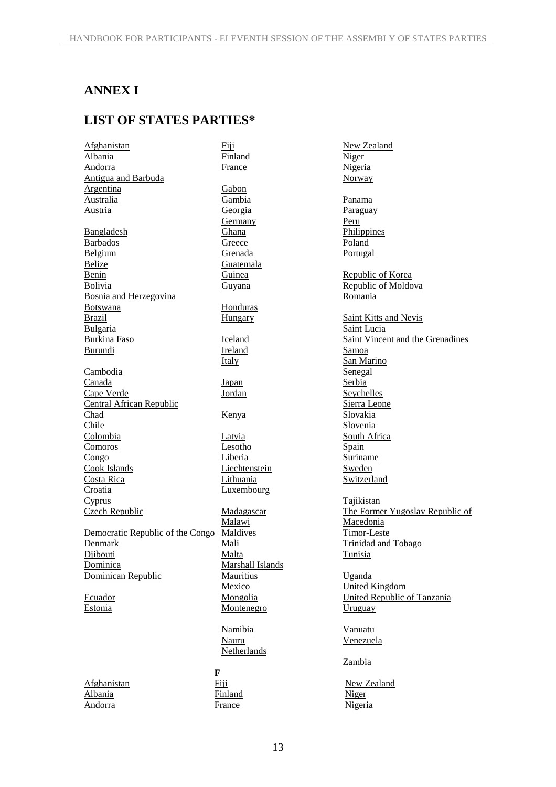# **ANNEX I**

# **LIST OF STATES PARTIES\***

Fiji

Afghanistan Albania Andorra Antigua and Barbuda Argentina Australia Austria Bangladesh Barbados Belgium **Belize** Benin Bolivia Bosnia and Herzegovina Botswana Brazil Bulgaria Burkina Faso Burundi **Cambodia** Canada Cape Verde Central African Republic Chad Chile Colombia Comoros Congo Cook Islands Costa Rica Croatia Cyprus Czech Republic Democratic Republic of the Congo Denmark Diibouti **Dominica** Dominican Republic Ecuador Estonia Afghanistan

Albania Andorra

Finland France Gabon Gambia Georgia Germany Ghana **Greece** Grenada Guatemala Guinea Guyana Honduras Hungary Iceland Ireland Italy Japan Jordan Kenya Latvia Lesotho Liberia Liechtenstein Lithuania **Luxembourg** Madagascar Malawi Maldives Mali Malta Marshall Islands Mauritius Mexico Mongolia Montenegro Namibia Nauru

**F** Fiji Finland France

Netherlands

New Zealand Niger Nigeria Norway Panama **Paraguay** Peru **Philippines** Poland Portugal Republic of Korea Republic of Moldova Romania Saint Kitts and Nevis Saint Lucia Saint Vincent and the Grenadines Samoa San Marino **Senegal Serbia** Seychelles Sierra Leone Slovakia Slovenia South Africa Spain Suriname Sweden **Switzerland** Tajikistan The Former Yugoslav Republic of Macedonia Timor-Leste Trinidad and Tobago Tunisia Uganda United Kingdom United Republic of Tanzania Uruguay Vanuatu Venezuela Zambia

New Zealand Niger Nigeria